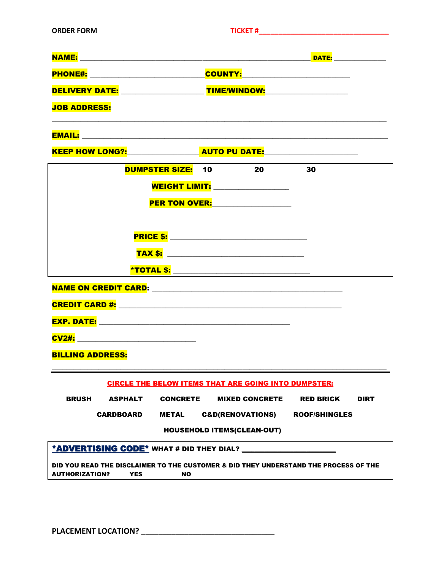| <b>NAME:</b>   | <b>DATE:</b>        |  |
|----------------|---------------------|--|
| <b>PHONE#:</b> | <b>COUNTY:</b>      |  |
| DELIVERY DATE: | <b>TIME/WINDOW:</b> |  |

\_\_\_\_\_\_\_\_\_\_\_\_\_\_\_\_\_\_\_\_\_\_\_\_\_\_\_\_\_\_\_\_\_\_\_\_\_\_\_\_\_\_\_\_\_\_\_\_\_\_\_\_\_\_\_\_\_\_\_\_\_\_\_\_\_\_\_\_\_\_\_\_\_\_\_\_\_\_\_\_\_\_\_\_\_\_\_\_\_\_\_\_\_

JOB ADDRESS:

EMAIL: \_\_\_\_\_\_\_\_\_\_\_\_\_\_\_\_\_\_\_\_\_\_\_\_\_\_\_\_\_\_\_\_\_\_\_\_\_\_\_\_\_\_\_\_\_\_\_\_\_\_\_\_\_\_\_\_\_\_\_\_\_\_\_\_\_\_\_\_\_\_\_\_\_\_\_\_\_\_\_\_\_\_\_\_\_

KEEP HOW LONG?:\_\_\_\_\_\_\_\_\_\_\_\_\_\_\_\_\_\_\_\_ AUTO PU DATE:\_\_\_\_\_\_\_\_\_\_\_\_\_\_\_\_\_\_\_\_\_\_\_\_\_\_

|                                                                      |  | <b>DUMPSTER SIZE: 10</b> |  | 20<br><b>WEIGHT LIMIT:</b> when the contract of the contract of the contract of the contract of the contract of the contract of the contract of the contract of the contract of the contract of the contract of the contract of the contr<br>PER TON OVER: | 30                                                                |             |
|----------------------------------------------------------------------|--|--------------------------|--|------------------------------------------------------------------------------------------------------------------------------------------------------------------------------------------------------------------------------------------------------------|-------------------------------------------------------------------|-------------|
|                                                                      |  |                          |  |                                                                                                                                                                                                                                                            |                                                                   |             |
|                                                                      |  |                          |  | <u>*TOTAL \$: ________________________________</u>                                                                                                                                                                                                         |                                                                   |             |
|                                                                      |  |                          |  |                                                                                                                                                                                                                                                            |                                                                   |             |
|                                                                      |  |                          |  |                                                                                                                                                                                                                                                            |                                                                   |             |
| <u>CV2#: ____________________________</u><br><b>BILLING ADDRESS:</b> |  |                          |  |                                                                                                                                                                                                                                                            |                                                                   |             |
| <b>CIRCLE THE BELOW ITEMS THAT ARE GOING INTO DUMPSTER:</b>          |  |                          |  |                                                                                                                                                                                                                                                            |                                                                   |             |
| <b>BRUSH</b>                                                         |  |                          |  |                                                                                                                                                                                                                                                            | ASPHALT         CONCRETE         MIXED CONCRETE         RED BRICK | <b>DIRT</b> |

CARDBOARD METAL C&D(RENOVATIONS) ROOF/SHINGLES

HOUSEHOLD ITEMS(CLEAN-OUT)

| *ADVERTISING CODE* WHAT # DID THEY DIAL? |  |
|------------------------------------------|--|
|------------------------------------------|--|

DID YOU READ THE DISCLAIMER TO THE CUSTOMER & DID THEY UNDERSTAND THE PROCESS OF THE AUTHORIZATION? YES NO